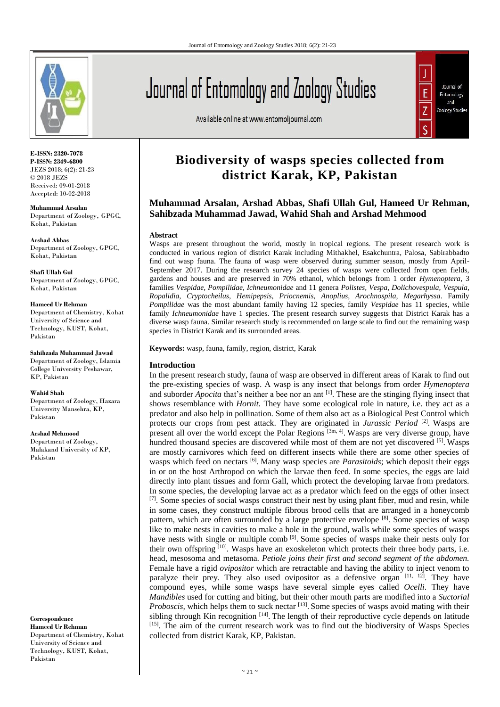

**E-ISSN: 2320-7078 P-ISSN: 2349-6800** JEZS 2018; 6(2): 21-23 © 2018 JEZS Received: 09-01-2018 Accepted: 10-02-2018

**Muhammad Arsalan** Department of Zoology, GPGC, Kohat, Pakistan

**Arshad Abbas** Department of Zoology, GPGC, Kohat, Pakistan

**Shafi Ullah Gul** Department of Zoology, GPGC, Kohat, Pakistan

**Hameed Ur Rehman** Department of Chemistry, Kohat University of Science and Technology, KUST, Kohat, Pakistan

**Sahibzada Muhammad Jawad** Department of Zoology, Islamia College University Peshawar, KP, Pakistan

**Wahid Shah** Department of Zoology, Hazara University Mansehra, KP, Pakistan

**Arshad Mehmood** Department of Zoology, Malakand University of KP, Pakistan

**Correspondence Hameed Ur Rehman** Department of Chemistry, Kohat University of Science and Technology, KUST, Kohat, Pakistan

# Journal of Entomology and Zoology Studies

Available online at www.entomoljournal.com



## **Biodiversity of wasps species collected from district Karak, KP, Pakistan**

### **Muhammad Arsalan, Arshad Abbas, Shafi Ullah Gul, Hameed Ur Rehman, Sahibzada Muhammad Jawad, Wahid Shah and Arshad Mehmood**

#### **Abstract**

Wasps are present throughout the world, mostly in tropical regions. The present research work is conducted in various region of district Karak including Mithakhel, Esakchuntra, Palosa, Sabirabbadto find out wasp fauna. The fauna of wasp were observed during summer season, mostly from April-September 2017. During the research survey 24 species of wasps were collected from open fields, gardens and houses and are preserved in 70% ethanol, which belongs from 1 order *Hymenoptera,* 3 families *Vespidae, Pompilidae, Ichneumonidae* and 11 genera *Polistes, Vespa, Dolichovespula, Vespula, Ropalidia, Cryptocheilus, Hemipepsis, Priocnemis, Anoplius, Arochnospila, Megarhyssa*. Family *Pompilidae* was the most abundant family having 12 species, family *Vespidae* has 11 species, while family *Ichneumonidae* have 1 species. The present research survey suggests that District Karak has a diverse wasp fauna. Similar research study is recommended on large scale to find out the remaining wasp species in District Karak and its surrounded areas.

**Keywords:** wasp, fauna, family, region, district, Karak

#### **Introduction**

In the present research study, fauna of wasp are observed in different areas of Karak to find out the pre-existing species of wasp. A wasp is any insect that belongs from order *Hymenoptera* and suborder *Apocita* that's neither a bee nor an ant <sup>[1]</sup>. These are the stinging flying insect that shows resemblance with *Hornit.* They have some ecological role in nature, i.e. they act as a predator and also help in pollination. Some of them also act as a Biological Pest Control which protects our crops from pest attack. They are originated in *Jurassic Period* [2] *.* Wasps are present all over the world except the Polar Regions<sup>[3m, 4]</sup>. Wasps are very diverse group, have hundred thousand species are discovered while most of them are not yet discovered <sup>[5]</sup>. Wasps are mostly carnivores which feed on different insects while there are some other species of wasps which feed on nectars <sup>[6]</sup>. Many wasp species are *Parasitoids*; which deposit their eggs in or on the host Arthropod on which the larvae then feed. In some species, the eggs are laid directly into plant tissues and form Gall, which protect the developing larvae from predators. In some species, the developing larvae act as a predator which feed on the eggs of other insect [7]. Some species of social wasps construct their nest by using plant fiber, mud and resin, while in some cases, they construct multiple fibrous brood cells that are arranged in a honeycomb pattern, which are often surrounded by a large protective envelope [8]. Some species of wasp like to make nests in cavities to make a hole in the ground, walls while some species of wasps have nests with single or multiple comb<sup>[9]</sup>. Some species of wasps make their nests only for their own offspring [10]. Wasps have an exoskeleton which protects their three body parts, i.e. head, mesosoma and metasoma. *Petiole joins their first and second segment of the abdomen.* Female have a rigid *ovipositor* which are retractable and having the ability to inject venom to paralyze their prey. They also used ovipositor as a defensive organ [11, 12]. They have compound eyes, while some wasps have several simple eyes called *Ocelli*. They have *Mandibles* used for cutting and biting, but their other mouth parts are modified into a *Suctorial*  Proboscis, which helps them to suck nectar <sup>[13]</sup>. Some species of wasps avoid mating with their sibling through Kin recognition  $[14]$ . The length of their reproductive cycle depends on latitude [15]. The aim of the current research work was to find out the biodiversity of Wasps Species collected from district Karak, KP, Pakistan.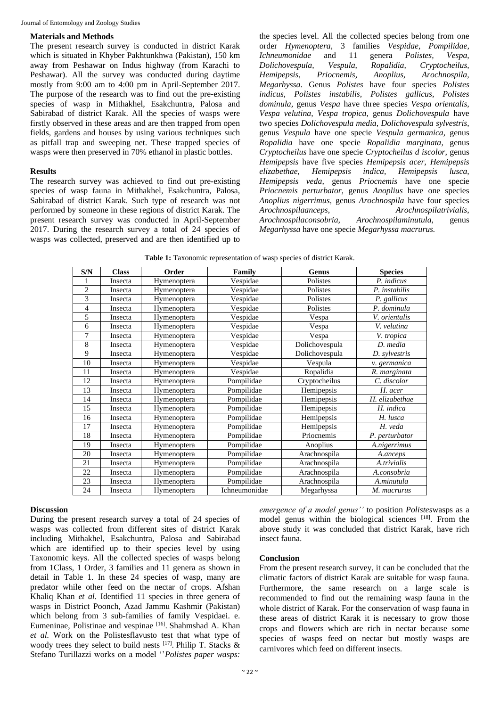#### **Materials and Methods**

The present research survey is conducted in district Karak which is situated in Khyber Pakhtunkhwa (Pakistan), 150 km away from Peshawar on Indus highway (from Karachi to Peshawar). All the survey was conducted during daytime mostly from 9:00 am to 4:00 pm in April-September 2017. The purpose of the research was to find out the pre-existing species of wasp in Mithakhel, Esakchuntra, Palosa and Sabirabad of district Karak. All the species of wasps were firstly observed in these areas and are then trapped from open fields, gardens and houses by using various techniques such as pitfall trap and sweeping net. These trapped species of wasps were then preserved in 70% ethanol in plastic bottles.

#### **Results**

The research survey was achieved to find out pre-existing species of wasp fauna in Mithakhel, Esakchuntra, Palosa, Sabirabad of district Karak. Such type of research was not performed by someone in these regions of district Karak. The present research survey was conducted in April-September 2017. During the research survey a total of 24 species of wasps was collected, preserved and are then identified up to the species level. All the collected species belong from one order *Hymenoptera,* 3 families *Vespidae, Pompilidae, Ichneumonidae* and 11 genera *Polistes, Vespa, Dolichovespula, Vespula, Ropalidia, Cryptocheilus, Hemipepsis, Priocnemis, Anoplius, Arochnospila, Megarhyssa*. Genus *Polistes* have four species *Polistes indicus, Polistes instabilis, Polistes gallicus, Polistes dominula,* genus *Vespa* have three species *Vespa orientalis, Vespa velutina, Vespa tropica,* genus *Dolichovespula* have two species *Dolichovespula media, Dolichovespula sylvestris,* genus *Vespula* have one specie *Vespula germanica,* genus *Ropalidia* have one specie *Ropalidia marginata,* genus *Cryptocheilus* have one specie *Cryptocheilus d iscolor,* genus *Hemipepsis* have five species *Hemipepsis acer, Hemipepsis elizabethae, Hemipepsis indica, Hemipepsis lusca, Hemipepsis veda,* genus *Priocnemis* have one specie *Priocnemis perturbator,* genus *Anoplius* have one species *Anoplius nigerrimus,* genus *Arochnospila* have four species *Arochnospilaanceps, Arochnospilatrivialis, Arochnospilaconsobria, Arochnospilaminutula,* genus *Megarhyssa* have one specie *Megarhyssa macrurus.* 

**Table 1:** Taxonomic representation of wasp species of district Karak.

| S/N            | <b>Class</b> | Order       | Family        | Genus          | <b>Species</b> |
|----------------|--------------|-------------|---------------|----------------|----------------|
|                | Insecta      | Hymenoptera | Vespidae      | Polistes       | P. indicus     |
| $\overline{2}$ | Insecta      | Hymenoptera | Vespidae      | Polistes       | P. instabilis  |
| 3              | Insecta      | Hymenoptera | Vespidae      | Polistes       | P. gallicus    |
| $\overline{4}$ | Insecta      | Hymenoptera | Vespidae      | Polistes       | P. dominula    |
| 5              | Insecta      | Hymenoptera | Vespidae      | Vespa          | V. orientalis  |
| 6              | Insecta      | Hymenoptera | Vespidae      | Vespa          | V. velutina    |
| 7              | Insecta      | Hymenoptera | Vespidae      | Vespa          | V. tropica     |
| 8              | Insecta      | Hymenoptera | Vespidae      | Dolichovespula | D. media       |
| 9              | Insecta      | Hymenoptera | Vespidae      | Dolichovespula | D. sylvestris  |
| 10             | Insecta      | Hymenoptera | Vespidae      | Vespula        | v. germanica   |
| 11             | Insecta      | Hymenoptera | Vespidae      | Ropalidia      | R. marginata   |
| 12             | Insecta      | Hymenoptera | Pompilidae    | Cryptocheilus  | C. discolor    |
| 13             | Insecta      | Hymenoptera | Pompilidae    | Hemipepsis     | H. acer        |
| 14             | Insecta      | Hymenoptera | Pompilidae    | Hemipepsis     | H. elizabethae |
| 15             | Insecta      | Hymenoptera | Pompilidae    | Hemipepsis     | H. indica      |
| 16             | Insecta      | Hymenoptera | Pompilidae    | Hemipepsis     | H. lusca       |
| 17             | Insecta      | Hymenoptera | Pompilidae    | Hemipepsis     | H. veda        |
| 18             | Insecta      | Hymenoptera | Pompilidae    | Priocnemis     | P. perturbator |
| 19             | Insecta      | Hymenoptera | Pompilidae    | Anoplius       | A.nigerrimus   |
| 20             | Insecta      | Hymenoptera | Pompilidae    | Arachnospila   | A.anceps       |
| 21             | Insecta      | Hymenoptera | Pompilidae    | Arachnospila   | A.trivialis    |
| 22             | Insecta      | Hymenoptera | Pompilidae    | Arachnospila   | A.consobria    |
| 23             | Insecta      | Hymenoptera | Pompilidae    | Arachnospila   | A.minutula     |
| 24             | Insecta      | Hymenoptera | Ichneumonidae | Megarhyssa     | M. macrurus    |

#### **Discussion**

During the present research survey a total of 24 species of wasps was collected from different sites of district Karak including Mithakhel, Esakchuntra, Palosa and Sabirabad which are identified up to their species level by using Taxonomic keys. All the collected species of wasps belong from 1Class, 1 Order, 3 families and 11 genera as shown in detail in Table 1. In these 24 species of wasp, many are predator while other feed on the nectar of crops. Afshan Khaliq Khan *et al.* Identified 11 species in three genera of wasps in District Poonch, Azad Jammu Kashmir (Pakistan) which belong from 3 sub-families of family Vespidaei. e. Eumeninae, Polistinae and vespinae <a>[16]</a>. Shahmshad A. Khan *et al.* Work on the Polistesflavusto test that what type of woody trees they select to build nests  $[17]$ . Philip T. Stacks & Stefano Turillazzi works on a model ''*Polistes paper wasps:* 

*emergence of a model genus''* to position *Polistes*wasps as a model genus within the biological sciences [18]. From the above study it was concluded that district Karak, have rich insect fauna.

#### **Conclusion**

From the present research survey, it can be concluded that the climatic factors of district Karak are suitable for wasp fauna. Furthermore, the same research on a large scale is recommended to find out the remaining wasp fauna in the whole district of Karak. For the conservation of wasp fauna in these areas of district Karak it is necessary to grow those crops and flowers which are rich in nectar because some species of wasps feed on nectar but mostly wasps are carnivores which feed on different insects.